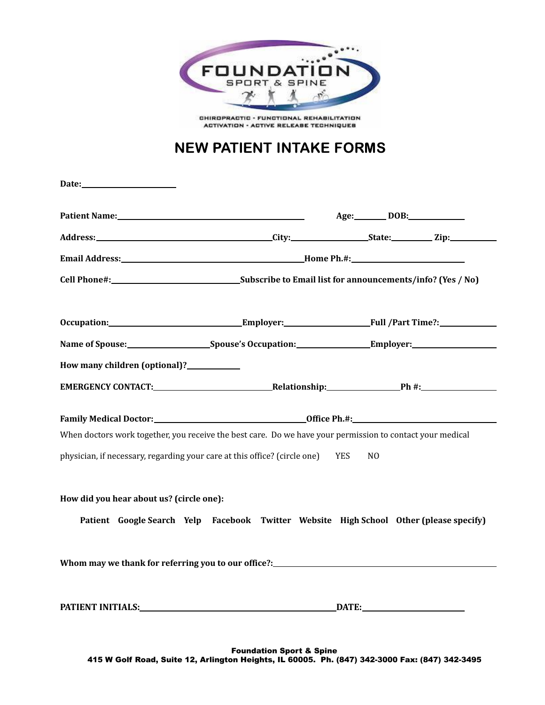

CHIROPRACTIC - FUNCTIONAL REHABILITATION **ACTIVATION - ACTIVE RELEASE TECHNIQUES** 

# NEW PATIENT INTAKE FORMS

| Date: $\qquad \qquad$                               |                                                                                                                                                                                                                                |                                                                                                                |
|-----------------------------------------------------|--------------------------------------------------------------------------------------------------------------------------------------------------------------------------------------------------------------------------------|----------------------------------------------------------------------------------------------------------------|
|                                                     |                                                                                                                                                                                                                                | Age: DOB: DOB:                                                                                                 |
|                                                     |                                                                                                                                                                                                                                |                                                                                                                |
|                                                     |                                                                                                                                                                                                                                |                                                                                                                |
|                                                     |                                                                                                                                                                                                                                |                                                                                                                |
|                                                     |                                                                                                                                                                                                                                |                                                                                                                |
|                                                     |                                                                                                                                                                                                                                | Occupation:___________________________________Employer:___________________________Full /Part Time?:___________ |
|                                                     |                                                                                                                                                                                                                                |                                                                                                                |
| How many children (optional)?<br><u>Lettin many</u> |                                                                                                                                                                                                                                |                                                                                                                |
|                                                     |                                                                                                                                                                                                                                |                                                                                                                |
|                                                     |                                                                                                                                                                                                                                |                                                                                                                |
|                                                     | When doctors work together, you receive the best care. Do we have your permission to contact your medical                                                                                                                      |                                                                                                                |
|                                                     | physician, if necessary, regarding your care at this office? (circle one) YES                                                                                                                                                  | N <sub>0</sub>                                                                                                 |
| How did you hear about us? (circle one):            |                                                                                                                                                                                                                                |                                                                                                                |
|                                                     |                                                                                                                                                                                                                                | Patient Google Search Yelp Facebook Twitter Website High School Other (please specify)                         |
|                                                     |                                                                                                                                                                                                                                | Whom may we thank for referring you to our office?:______________________________                              |
|                                                     | PATIENT INITIALS: The Contract of the Contract of the Contract of the Contract of the Contract of the Contract of the Contract of the Contract of the Contract of the Contract of the Contract of the Contract of the Contract | DATE: DATE:                                                                                                    |
|                                                     |                                                                                                                                                                                                                                |                                                                                                                |

Foundation Sport & Spine 415 W Golf Road, Suite 12, Arlington Heights, IL 60005. Ph. (847) 342-3000 Fax: (847) 342-3495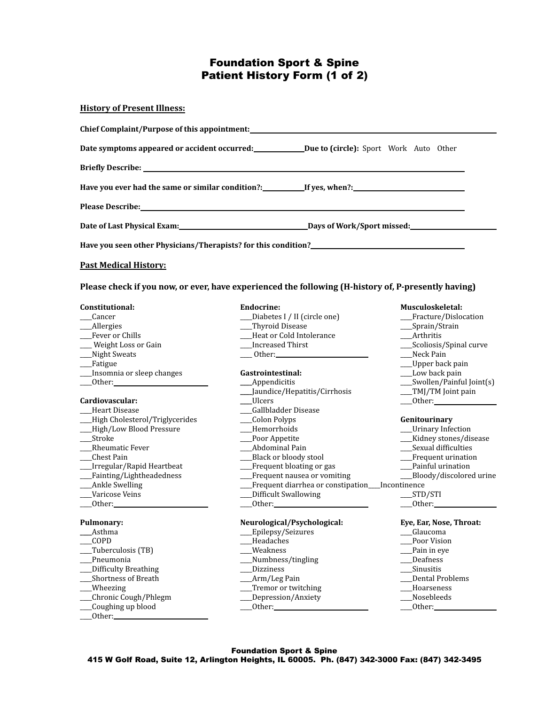# Foundation Sport & Spine Patient History Form (1 of 2)

#### **History of Present Illness:**

| Due to (circle): Sport Work Auto Other Due to (comparently point and Other Due to (circle): Sport Work Auto Other                                                                                                              |  |
|--------------------------------------------------------------------------------------------------------------------------------------------------------------------------------------------------------------------------------|--|
|                                                                                                                                                                                                                                |  |
|                                                                                                                                                                                                                                |  |
| Please Describe: https://www.archive.com/watch?users/and/watch?users/and/watch?users/and/watch?users/and/watch?users/and/watch?users/and/watch?users/and/watch?users/and/watch?users/and/watch?users/and/watch?users/and/watch |  |
|                                                                                                                                                                                                                                |  |
|                                                                                                                                                                                                                                |  |

#### **Past Medical History:**

**Please check if you now, or ever, have experienced the following (H-history of, P-presently having)**

\_\_\_\_Heart Disease \_\_\_\_Gallbladder Disease \_\_\_\_High Cholesterol/Triglycerides \_\_\_\_Colon Polyps **Genitourinary** \_\_\_\_High/Low Blood Pressure \_\_\_\_Hemorrhoids \_\_\_\_Urinary Infection \_\_\_\_Stroke \_\_\_\_Poor Appetite \_\_\_\_Kidney stones/disease \_\_\_\_Rheumatic Fever \_\_\_\_Abdominal Pain \_\_\_\_Sexual difficulties \_\_\_\_Chest Pain \_\_\_\_Black or bloody stool \_\_\_\_Frequent urination \_\_\_\_Irregular/Rapid Heartbeat \_\_\_\_Frequent bloating or gas \_\_\_\_Painful urination \_\_\_\_Fainting/Lightheadedness \_\_\_\_Frequent nausea or vomiting \_\_\_\_Bloody/discolored urine \_\_\_\_Ankle Swelling \_\_\_\_Frequent diarrhea or constipation\_\_\_\_Incontinence \_\_\_\_Varicose Veins \_\_\_\_Difficult Swallowing \_\_\_\_STD/STI \_\_\_\_Other: \_\_\_\_Other: \_\_\_\_Other:

| Asthma               | ____Epilepsy/Seizures | Glaucoma             |
|----------------------|-----------------------|----------------------|
| <b>COPD</b>          | Headaches             | Poor Vision          |
| __Tuberculosis (TB)  | Weakness              | $\equiv$ Pain in eye |
| Pneumonia            | ___Numbness/tingling  | Deafness             |
| Difficulty Breathing | <b>Dizziness</b>      | Sinusitis            |
| Shortness of Breath  | ___Arm/Leg Pain       | Dental Prob          |
| Wheezing             | Tremor or twitching   | Hoarseness           |
| Chronic Cough/Phlegm | __ Depression/Anxiety | Nosebleeds           |
| Coughing up blood    | Other:                | Other:               |
| Other:               |                       |                      |

| Cancer                                                                                                                                                                                                                         | __Diabetes I / II (circle one)                                                                                                                                                                                                 | Fracture/Dislocation                 |
|--------------------------------------------------------------------------------------------------------------------------------------------------------------------------------------------------------------------------------|--------------------------------------------------------------------------------------------------------------------------------------------------------------------------------------------------------------------------------|--------------------------------------|
| __Allergies                                                                                                                                                                                                                    | __Thyroid Disease                                                                                                                                                                                                              | $\sqrt{\frac{2}{\pi}}$ Sprain/Strain |
| Fever or Chills                                                                                                                                                                                                                | Heat or Cold Intolerance                                                                                                                                                                                                       | Arthritis                            |
| __ Weight Loss or Gain                                                                                                                                                                                                         | Increased Thirst                                                                                                                                                                                                               | ___Scoliosis/Spinal curve            |
| __Night Sweats                                                                                                                                                                                                                 | Other: the contract of the contract of the contract of the contract of the contract of the contract of the contract of the contract of the contract of the contract of the contract of the contract of the contract of the con | Neck Pain                            |
| __Fatigue                                                                                                                                                                                                                      |                                                                                                                                                                                                                                | __Upper back pain                    |
| __Insomnia or sleep changes                                                                                                                                                                                                    | Gastrointestinal:                                                                                                                                                                                                              | ___Low back pain                     |
| Other: the contract of the contract of the contract of the contract of the contract of the contract of the contract of the contract of the contract of the contract of the contract of the contract of the contract of the con | $\_\_\$ Appendicitis                                                                                                                                                                                                           | ___Swollen/Painful Joint(s)          |
|                                                                                                                                                                                                                                | __Jaundice/Hepatitis/Cirrhosis                                                                                                                                                                                                 | __TMJ/TM Joint pain                  |
| Cardiovascular:                                                                                                                                                                                                                | Ulcers                                                                                                                                                                                                                         | ___0ther:_                           |

- 
- 
- 
- 
- 
- -
	-

# **Pulmonary: Neurological/Psychological:** Eye, Ear, Nose, Throat: <u>Bye, Ear, Nose, Throat:</u> <u>Pulmonary:</u> <u>Pulmonary:</u> <u>Pulmonary:</u> <u>Pulmonary:</u> <u>Pulmonary:</u> <u>Pulmonary:</u> <u>Pulmonary:</u> 2010

- \_Epilepsy/Seizures<br>Headaches
- 
- 
- \_\_\_\_Pneumonia \_\_\_\_Numbness/tingling \_\_\_\_Deafness
- \_\_\_\_Difficulty Breathing \_\_\_\_Dizziness \_\_\_\_Sinusitis
- 
- \_\_\_\_Wheezing \_\_\_\_Tremor or twitching \_\_\_\_Hoarseness
- \_\_\_\_Chronic Cough/Phlegm \_\_\_\_Depression/Anxiety \_\_\_\_Nosebleeds
- 

#### **Constitutional: Endocrine: Musculoskeletal:**

- 
- is \_\_\_\_\_\_\_\_\_TMJ/TM Joint pain
	-

| Other: |  |
|--------|--|

- 
- 
- 
- 
- 
- \_\_\_\_Shortness of Breath \_\_\_\_Arm/Leg Pain \_\_\_\_Dental Problems
	-
	-
- Foundation Sport & Spine 415 W Golf Road, Suite 12, Arlington Heights, IL 60005. Ph. (847) 342-3000 Fax: (847) 342-3495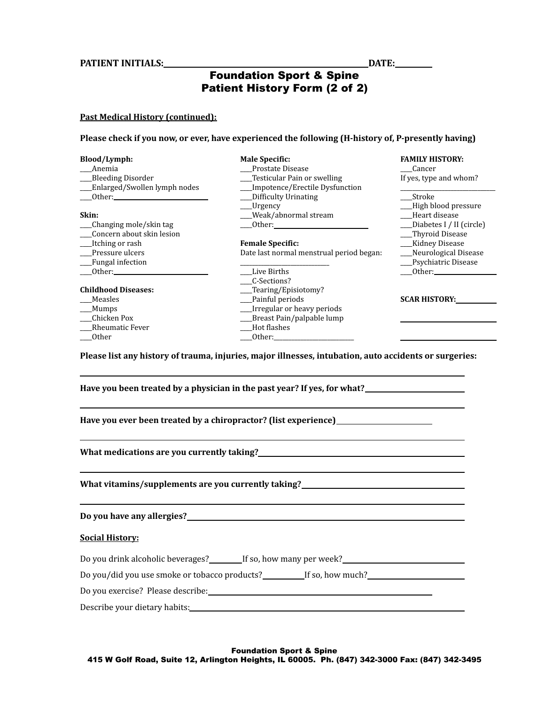### **PATIENT INITIALS: DATE:**

# Foundation Sport & Spine Patient History Form (2 of 2)

### **Past Medical History (continued):**

**Please check if you now, or ever, have experienced the following (H-history of, P-presently having)**

| Blood/Lymph:                 | <b>Male Specific:</b>                                                                                                                                                                                                          | <b>FAMILY HISTORY:</b>   |
|------------------------------|--------------------------------------------------------------------------------------------------------------------------------------------------------------------------------------------------------------------------------|--------------------------|
| Anemia                       | Prostate Disease                                                                                                                                                                                                               | Cancer                   |
| Bleeding Disorder            | Testicular Pain or swelling                                                                                                                                                                                                    | If yes, type and whom?   |
| Enlarged/Swollen lymph nodes | Impotence/Erectile Dysfunction                                                                                                                                                                                                 |                          |
|                              | Difficulty Urinating                                                                                                                                                                                                           | Stroke                   |
|                              | ____Urgency                                                                                                                                                                                                                    | - High blood pressure    |
| Skin:                        | Weak/abnormal stream_                                                                                                                                                                                                          | Heart disease            |
| Changing mole/skin tag       | Other: the contract of the contract of the contract of the contract of the contract of the contract of the contract of the contract of the contract of the contract of the contract of the contract of the contract of the con | Diabetes I / II (circle) |
| Concern about skin lesion    |                                                                                                                                                                                                                                | __Thyroid Disease        |
| Itching or rash              | <b>Female Specific:</b>                                                                                                                                                                                                        | __Kidney Disease         |
| Pressure ulcers              | Date last normal menstrual period began:                                                                                                                                                                                       | __Neurological Disease   |
| Fungal infection             |                                                                                                                                                                                                                                | _Psychiatric Disease     |
|                              | Live Births                                                                                                                                                                                                                    |                          |
|                              | C-Sections?                                                                                                                                                                                                                    |                          |
| <b>Childhood Diseases:</b>   | Tearing/Episiotomy?                                                                                                                                                                                                            |                          |
| Measles                      | Painful periods                                                                                                                                                                                                                | <b>SCAR HISTORY:</b>     |
| Mumps                        | __Irregular or heavy periods                                                                                                                                                                                                   |                          |
| Chicken Pox                  | Breast Pain/palpable lump                                                                                                                                                                                                      |                          |
| <b>Rheumatic Fever</b>       | Hot flashes                                                                                                                                                                                                                    |                          |
| <b>Other</b>                 | Other: the contract of the contract of the contract of the contract of the contract of the contract of the contract of the contract of the contract of the contract of the contract of the contract of the contract of the con |                          |
|                              |                                                                                                                                                                                                                                |                          |
|                              | Please list any history of trauma, injuries, major illnesses, intubation, auto accidents or surgeries:                                                                                                                         |                          |

**Have you been treated by a physician in the past year? If yes, for what?**

**Have you ever been treated by a chiropractor? (list experience)**

**What medications are you currently taking?**

**What vitamins/supplements are you currently taking?**

**Do you have any allergies?**

#### **Social History:**

| Do you drink alcoholic beverages? | If so, how many per week? |
|-----------------------------------|---------------------------|
|                                   |                           |

Do you/did you use smoke or tobacco products?<br>If so, how much?

Do you exercise? Please describe: Describe your dietary habits: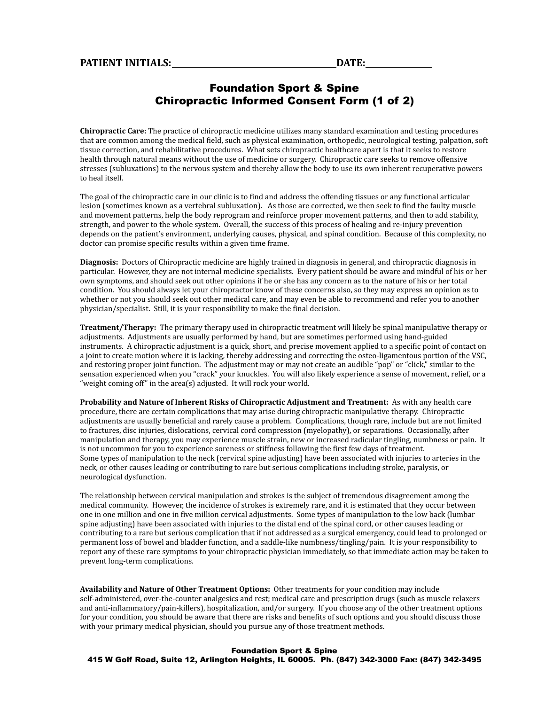## Foundation Sport & Spine Chiropractic Informed Consent Form (1 of 2)

**Chiropractic Care:** The practice of chiropractic medicine utilizes many standard examination and testing procedures that are common among the medical field, such as physical examination, orthopedic, neurological testing, palpation, soft tissue correction, and rehabilitative procedures. What sets chiropractic healthcare apart is that it seeks to restore health through natural means without the use of medicine or surgery. Chiropractic care seeks to remove offensive stresses (subluxations) to the nervous system and thereby allow the body to use its own inherent recuperative powers to heal itself.

The goal of the chiropractic care in our clinic is to find and address the offending tissues or any functional articular lesion (sometimes known as a vertebral subluxation). As those are corrected, we then seek to find the faulty muscle and movement patterns, help the body reprogram and reinforce proper movement patterns, and then to add stability, strength, and power to the whole system. Overall, the success of this process of healing and re-injury prevention depends on the patient's environment, underlying causes, physical, and spinal condition. Because of this complexity, no doctor can promise specific results within a given time frame.

**Diagnosis:** Doctors of Chiropractic medicine are highly trained in diagnosis in general, and chiropractic diagnosis in particular. However, they are not internal medicine specialists. Every patient should be aware and mindful of his or her own symptoms, and should seek out other opinions if he or she has any concern as to the nature of his or her total condition. You should always let your chiropractor know of these concerns also, so they may express an opinion as to whether or not you should seek out other medical care, and may even be able to recommend and refer you to another physician/specialist. Still, it is your responsibility to make the final decision.

**Treatment/Therapy:** The primary therapy used in chiropractic treatment will likely be spinal manipulative therapy or adjustments. Adjustments are usually performed by hand, but are sometimes performed using hand-guided instruments. A chiropractic adjustment is a quick, short, and precise movement applied to a specific point of contact on a joint to create motion where it is lacking, thereby addressing and correcting the osteo-ligamentous portion of the VSC, and restoring proper joint function. The adjustment may or may not create an audible "pop" or "click," similar to the sensation experienced when you "crack" your knuckles. You will also likely experience a sense of movement, relief, or a "weight coming off" in the area(s) adjusted. It will rock your world.

**Probability and Nature of Inherent Risks of Chiropractic Adjustment and Treatment:** As with any health care procedure, there are certain complications that may arise during chiropractic manipulative therapy. Chiropractic adjustments are usually beneficial and rarely cause a problem. Complications, though rare, include but are not limited to fractures, disc injuries, dislocations, cervical cord compression (myelopathy), or separations. Occasionally, after manipulation and therapy, you may experience muscle strain, new or increased radicular tingling, numbness or pain. It is not uncommon for you to experience soreness or stiffness following the first few days of treatment. Some types of manipulation to the neck (cervical spine adjusting) have been associated with injuries to arteries in the neck, or other causes leading or contributing to rare but serious complications including stroke, paralysis, or neurological dysfunction.

The relationship between cervical manipulation and strokes is the subject of tremendous disagreement among the medical community. However, the incidence of strokes is extremely rare, and it is estimated that they occur between one in one million and one in five million cervical adjustments. Some types of manipulation to the low back (lumbar spine adjusting) have been associated with injuries to the distal end of the spinal cord, or other causes leading or contributing to a rare but serious complication that if not addressed as a surgical emergency, could lead to prolonged or permanent loss of bowel and bladder function, and a saddle-like numbness/tingling/pain. It is your responsibility to report any of these rare symptoms to your chiropractic physician immediately, so that immediate action may be taken to prevent long-term complications.

**Availability and Nature of Other Treatment Options:** Other treatments for your condition may include self-administered, over-the-counter analgesics and rest; medical care and prescription drugs (such as muscle relaxers and anti-inflammatory/pain-killers), hospitalization, and/or surgery. If you choose any of the other treatment options for your condition, you should be aware that there are risks and benefits of such options and you should discuss those with your primary medical physician, should you pursue any of those treatment methods.

### Foundation Sport & Spine 415 W Golf Road, Suite 12, Arlington Heights, IL 60005. Ph. (847) 342-3000 Fax: (847) 342-3495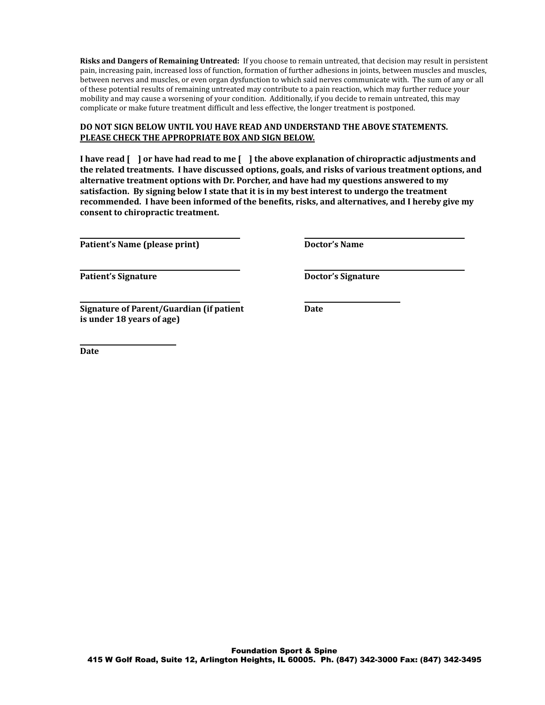**Risks and Dangers of Remaining Untreated:** If you choose to remain untreated, that decision may result in persistent pain, increasing pain, increased loss of function, formation of further adhesions in joints, between muscles and muscles, between nerves and muscles, or even organ dysfunction to which said nerves communicate with. The sum of any or all of these potential results of remaining untreated may contribute to a pain reaction, which may further reduce your mobility and may cause a worsening of your condition. Additionally, if you decide to remain untreated, this may complicate or make future treatment difficult and less effective, the longer treatment is postponed.

### **DO NOT SIGN BELOW UNTIL YOU HAVE READ AND UNDERSTAND THE ABOVE STATEMENTS. PLEASE CHECK THE APPROPRIATE BOX AND SIGN BELOW.**

I have read [ ] or have had read to me [ ] the above explanation of chiropractic adjustments and **the related treatments. I have discussed options, goals, and risks of various treatment options, and alternative treatment options with Dr. Porcher, and have had my questions answered to my satisfaction. By signing below I state that it is in my best interest to undergo the treatment recommended. I have been informed of the benefits, risks, and alternatives, and I hereby give my consent to chiropractic treatment.**

**Patient's Name (please print) Doctor's Name**

**Patient's** Signature **Doctor's** Signature

**Signature of Parent/Guardian (if patient Date is under 18 years of age)**

**Date**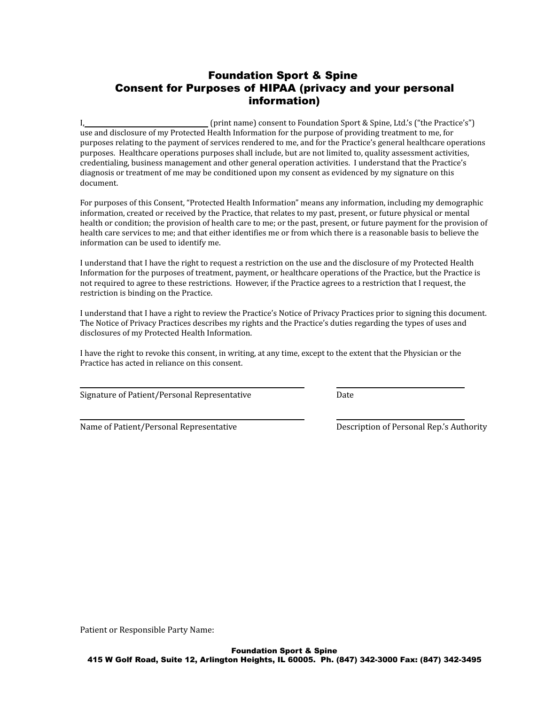# Foundation Sport & Spine Consent for Purposes of HIPAA (privacy and your personal information)

I, (print name) consent to Foundation Sport & Spine, Ltd.'s ("the Practice's") use and disclosure of my Protected Health Information for the purpose of providing treatment to me, for purposes relating to the payment of services rendered to me, and for the Practice's general healthcare operations purposes. Healthcare operations purposes shall include, but are not limited to, quality assessment activities, credentialing, business management and other general operation activities. I understand that the Practice's diagnosis or treatment of me may be conditioned upon my consent as evidenced by my signature on this document.

For purposes of this Consent, "Protected Health Information" means any information, including my demographic information, created or received by the Practice, that relates to my past, present, or future physical or mental health or condition; the provision of health care to me; or the past, present, or future payment for the provision of health care services to me; and that either identifies me or from which there is a reasonable basis to believe the information can be used to identify me.

I understand that I have the right to request a restriction on the use and the disclosure of my Protected Health Information for the purposes of treatment, payment, or healthcare operations of the Practice, but the Practice is not required to agree to these restrictions. However, if the Practice agrees to a restriction that I request, the restriction is binding on the Practice.

I understand that I have a right to review the Practice's Notice of Privacy Practices prior to signing this document. The Notice of Privacy Practices describes my rights and the Practice's duties regarding the types of uses and disclosures of my Protected Health Information.

I have the right to revoke this consent, in writing, at any time, except to the extent that the Physician or the Practice has acted in reliance on this consent.

Signature of Patient/Personal Representative Date

Name of Patient/Personal Representative Description of Personal Rep.'s Authority

Patient or Responsible Party Name: